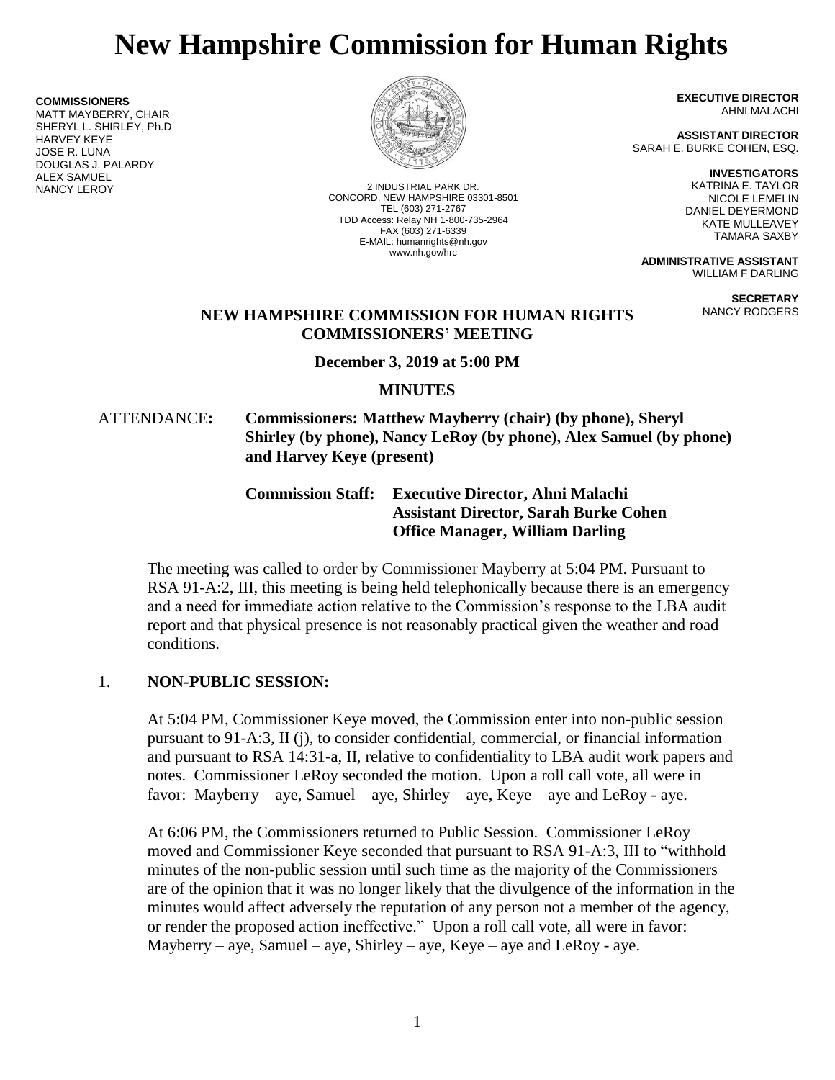# **New Hampshire Commission for Human Rights**

**COMMISSIONERS** MATT MAYBERRY, CHAIR SHERYL L. SHIRLEY, Ph.D HARVEY KEYE JOSE R. LUNA DOUGLAS J. PALARDY **ALEX SAMUEL<br>NANCY LEROY** 



2 INDUSTRIAL PARK DR. CONCORD, NEW HAMPSHIRE 03301-8501 TEL (603) 271-2767 TDD Access: Relay NH 1-800-735-2964 FAX (603) 271-6339 E-MAIL: humanrights@nh.gov www.nh.gov/hrc

**EXECUTIVE DIRECTOR** AHNI MALACHI

**ASSISTANT DIRECTOR** SARAH E. BURKE COHEN, ESQ.

> **INVESTIGATORS** KATRINA E. TAYLOR NICOLE LEMELIN DANIEL DEYERMOND KATE MULLEAVEY TAMARA SAXBY

**ADMINISTRATIVE ASSISTANT** WILLIAM F DARLING

> **SECRETARY** NANCY RODGERS

#### **NEW HAMPSHIRE COMMISSION FOR HUMAN RIGHTS COMMISSIONERS' MEETING**

**December 3, 2019 at 5:00 PM**

#### **MINUTES**

ATTENDANCE**: Commissioners: Matthew Mayberry (chair) (by phone), Sheryl Shirley (by phone), Nancy LeRoy (by phone), Alex Samuel (by phone) and Harvey Keye (present)**

### **Commission Staff: Executive Director, Ahni Malachi Assistant Director, Sarah Burke Cohen Office Manager, William Darling**

The meeting was called to order by Commissioner Mayberry at 5:04 PM. Pursuant to RSA 91-A:2, III, this meeting is being held telephonically because there is an emergency and a need for immediate action relative to the Commission's response to the LBA audit report and that physical presence is not reasonably practical given the weather and road conditions.

#### 1. **NON-PUBLIC SESSION:**

At 5:04 PM, Commissioner Keye moved, the Commission enter into non-public session pursuant to 91-A:3, II (j), to consider confidential, commercial, or financial information and pursuant to RSA 14:31-a, II, relative to confidentiality to LBA audit work papers and notes. Commissioner LeRoy seconded the motion. Upon a roll call vote, all were in favor: Mayberry – aye, Samuel – aye, Shirley – aye, Keye – aye and LeRoy - aye.

At 6:06 PM, the Commissioners returned to Public Session. Commissioner LeRoy moved and Commissioner Keye seconded that pursuant to RSA 91-A:3, III to "withhold minutes of the non-public session until such time as the majority of the Commissioners are of the opinion that it was no longer likely that the divulgence of the information in the minutes would affect adversely the reputation of any person not a member of the agency, or render the proposed action ineffective." Upon a roll call vote, all were in favor: Mayberry – aye, Samuel – aye, Shirley – aye, Keye – aye and LeRoy - aye.